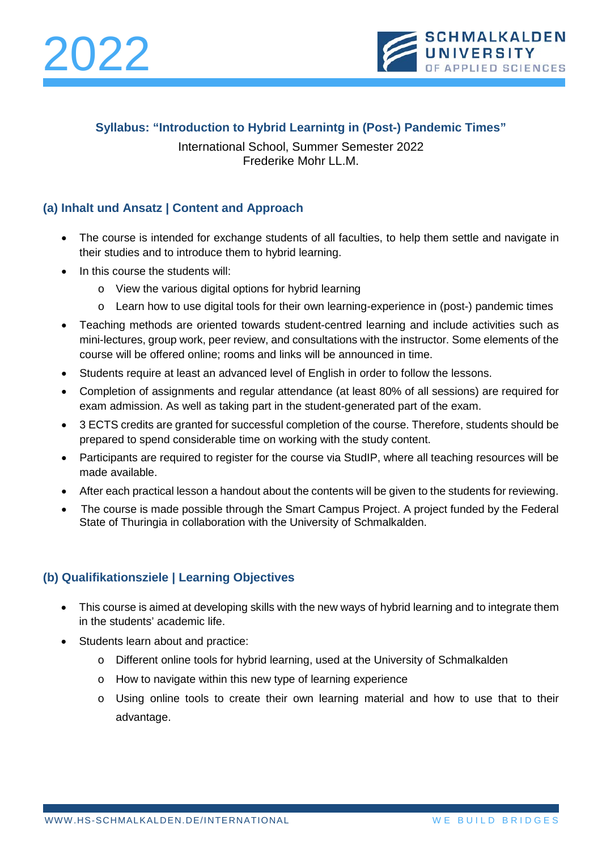



### **Syllabus: "Introduction to Hybrid Learnintg in (Post-) Pandemic Times"**

International School, Summer Semester 2022 Frederike Mohr LL.M.

# **(a) Inhalt und Ansatz | Content and Approach**

- The course is intended for exchange students of all faculties, to help them settle and navigate in their studies and to introduce them to hybrid learning.
- In this course the students will:
	- o View the various digital options for hybrid learning
	- o Learn how to use digital tools for their own learning-experience in (post-) pandemic times
- Teaching methods are oriented towards student-centred learning and include activities such as mini-lectures, group work, peer review, and consultations with the instructor. Some elements of the course will be offered online; rooms and links will be announced in time.
- Students require at least an advanced level of English in order to follow the lessons.
- Completion of assignments and regular attendance (at least 80% of all sessions) are required for exam admission. As well as taking part in the student-generated part of the exam.
- 3 ECTS credits are granted for successful completion of the course. Therefore, students should be prepared to spend considerable time on working with the study content.
- Participants are required to register for the course via StudIP, where all teaching resources will be made available.
- After each practical lesson a handout about the contents will be given to the students for reviewing.
- The course is made possible through the Smart Campus Project. A project funded by the Federal State of Thuringia in collaboration with the University of Schmalkalden.

#### **(b) Qualifikationsziele | Learning Objectives**

- This course is aimed at developing skills with the new ways of hybrid learning and to integrate them in the students' academic life.
- Students learn about and practice:
	- o Different online tools for hybrid learning, used at the University of Schmalkalden
	- o How to navigate within this new type of learning experience
	- o Using online tools to create their own learning material and how to use that to their advantage.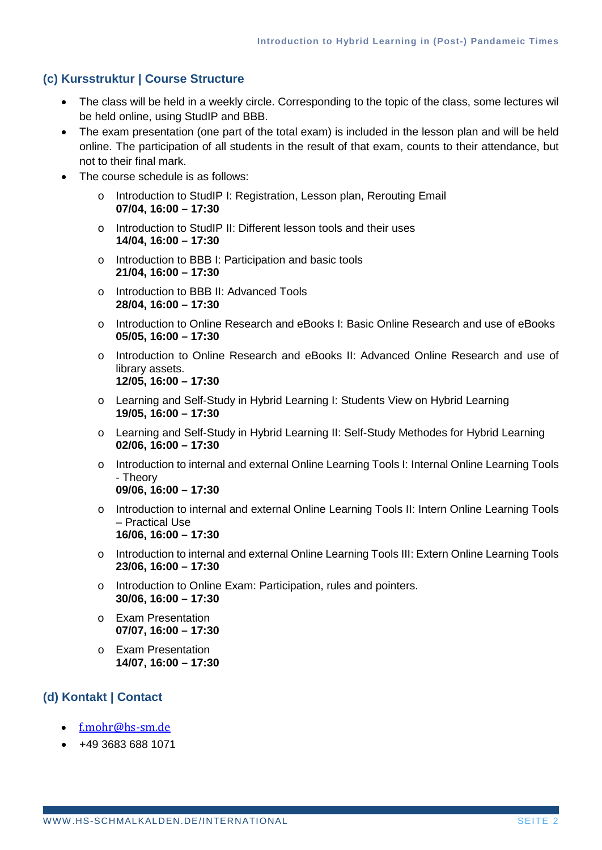### **(c) Kursstruktur | Course Structure**

- The class will be held in a weekly circle. Corresponding to the topic of the class, some lectures wil be held online, using StudIP and BBB.
- The exam presentation (one part of the total exam) is included in the lesson plan and will be held online. The participation of all students in the result of that exam, counts to their attendance, but not to their final mark.
- The course schedule is as follows:
	- o Introduction to StudIP I: Registration, Lesson plan, Rerouting Email **07/04, 16:00 – 17:30**
	- o Introduction to StudIP II: Different lesson tools and their uses **14/04, 16:00 – 17:30**
	- o Introduction to BBB I: Participation and basic tools **21/04, 16:00 – 17:30**
	- o Introduction to BBB II: Advanced Tools **28/04, 16:00 – 17:30**
	- o Introduction to Online Research and eBooks I: Basic Online Research and use of eBooks **05/05, 16:00 – 17:30**
	- o Introduction to Online Research and eBooks II: Advanced Online Research and use of library assets. **12/05, 16:00 – 17:30**
	- o Learning and Self-Study in Hybrid Learning I: Students View on Hybrid Learning **19/05, 16:00 – 17:30**
	- o Learning and Self-Study in Hybrid Learning II: Self-Study Methodes for Hybrid Learning **02/06, 16:00 – 17:30**
	- o Introduction to internal and external Online Learning Tools I: Internal Online Learning Tools - Theory **09/06, 16:00 – 17:30**
	- o Introduction to internal and external Online Learning Tools II: Intern Online Learning Tools – Practical Use **16/06, 16:00 – 17:30**
	- o Introduction to internal and external Online Learning Tools III: Extern Online Learning Tools **23/06, 16:00 – 17:30**
	- o Introduction to Online Exam: Participation, rules and pointers. **30/06, 16:00 – 17:30**
	- o Exam Presentation **07/07, 16:00 – 17:30**
	- o Exam Presentation **14/07, 16:00 – 17:30**

# **(d) Kontakt | Contact**

- [f.mohr@hs-sm.de](mailto:f.mohr@hs-sm.de)
- +49 3683 688 1071